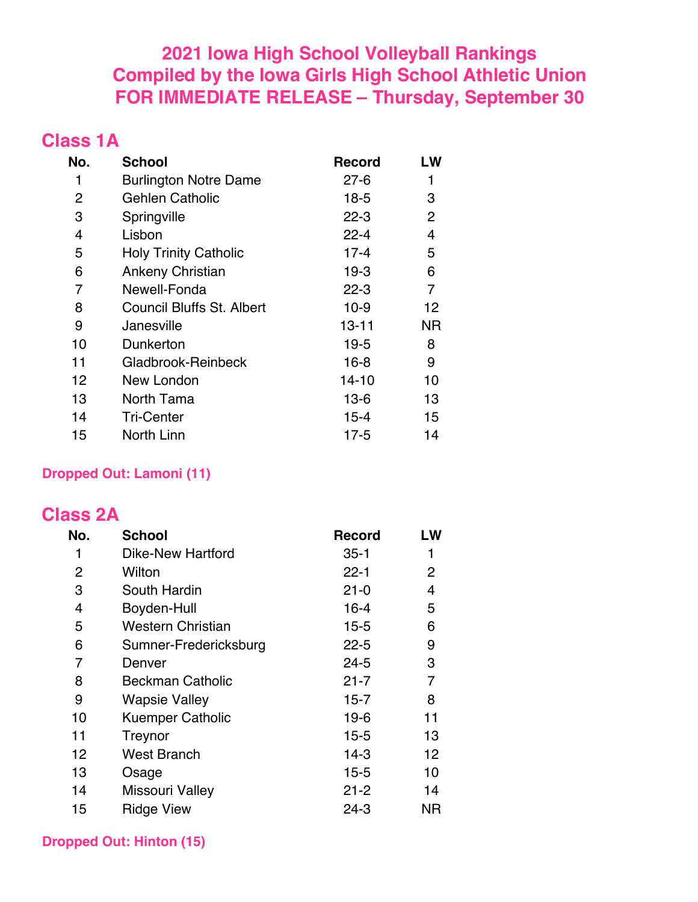## **2021 Iowa High School Volleyball Rankings Compiled by the Iowa Girls High School Athletic Union FOR IMMEDIATE RELEASE – Thursday, September 30**

### **Class 1A**

| No.            | <b>School</b>                    | <b>Record</b> | LW |
|----------------|----------------------------------|---------------|----|
| 1              | <b>Burlington Notre Dame</b>     | $27 - 6$      | 1  |
| $\overline{2}$ | Gehlen Catholic                  | $18-5$        | 3  |
| 3              | Springville                      | $22 - 3$      | 2  |
| 4              | Lisbon                           | $22 - 4$      | 4  |
| 5              | <b>Holy Trinity Catholic</b>     | $17 - 4$      | 5  |
| 6              | <b>Ankeny Christian</b>          | $19-3$        | 6  |
| 7              | Newell-Fonda                     | $22 - 3$      | 7  |
| 8              | <b>Council Bluffs St. Albert</b> | $10 - 9$      | 12 |
| 9              | Janesville                       | $13 - 11$     | ΝR |
| 10             | Dunkerton                        | 19-5          | 8  |
| 11             | Gladbrook-Reinbeck               | $16 - 8$      | 9  |
| 12             | New London                       | 14-10         | 10 |
| 13             | North Tama                       | $13-6$        | 13 |
| 14             | <b>Tri-Center</b>                | $15 - 4$      | 15 |
| 15             | North Linn                       | 17-5          | 14 |

#### **Dropped Out: Lamoni (11)**

### **Class 2A**

| No. | <b>School</b>            | <b>Record</b> | LW             |
|-----|--------------------------|---------------|----------------|
| 1   | <b>Dike-New Hartford</b> | $35 - 1$      | 1              |
| 2   | Wilton                   | $22 - 1$      | $\overline{2}$ |
| 3   | South Hardin             | $21 - 0$      | 4              |
| 4   | Boyden-Hull              | $16 - 4$      | 5              |
| 5   | <b>Western Christian</b> | $15 - 5$      | 6              |
| 6   | Sumner-Fredericksburg    | $22 - 5$      | 9              |
| 7   | Denver                   | $24 - 5$      | 3              |
| 8   | <b>Beckman Catholic</b>  | $21 - 7$      | 7              |
| 9   | <b>Wapsie Valley</b>     | $15 - 7$      | 8              |
| 10  | <b>Kuemper Catholic</b>  | $19-6$        | 11             |
| 11  | Treynor                  | $15 - 5$      | 13             |
| 12  | <b>West Branch</b>       | $14-3$        | 12             |
| 13  | Osage                    | $15 - 5$      | 10             |
| 14  | <b>Missouri Valley</b>   | $21 - 2$      | 14             |
| 15  | <b>Ridge View</b>        | $24 - 3$      | ΝR             |

**Dropped Out: Hinton (15)**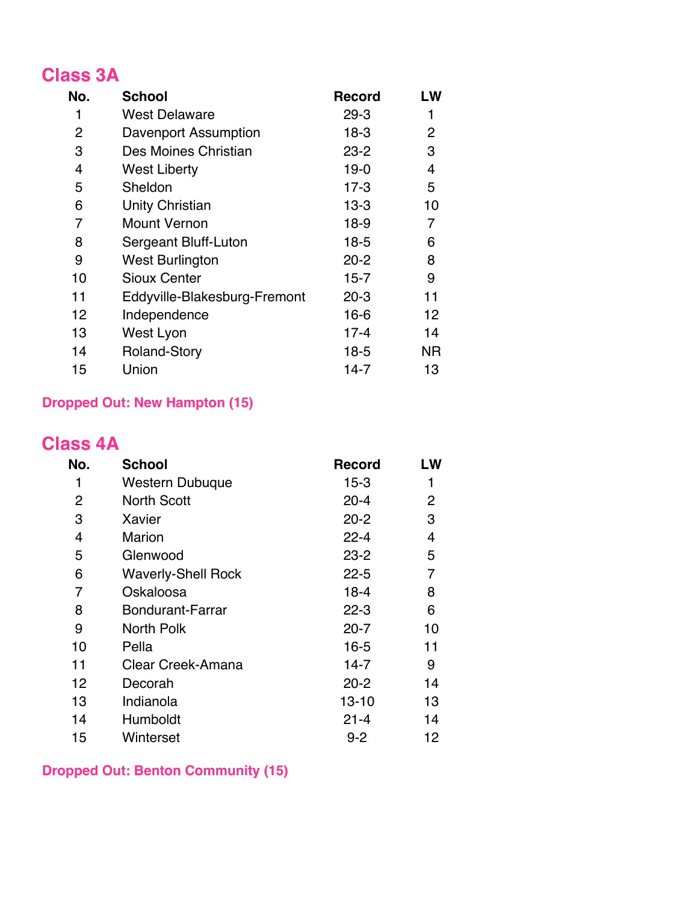## **Class 3A**

| No. | <b>School</b>                | <b>Record</b> | LW |
|-----|------------------------------|---------------|----|
| 1   | <b>West Delaware</b>         | $29 - 3$      | 1  |
| 2   | <b>Davenport Assumption</b>  | $18-3$        | 2  |
| 3   | Des Moines Christian         | $23 - 2$      | 3  |
| 4   | <b>West Liberty</b>          | $19-0$        | 4  |
| 5   | Sheldon                      | $17-3$        | 5  |
| 6   | <b>Unity Christian</b>       | $13 - 3$      | 10 |
| 7   | <b>Mount Vernon</b>          | 18-9          | 7  |
| 8   | Sergeant Bluff-Luton         | $18-5$        | 6  |
| 9   | <b>West Burlington</b>       | $20 - 2$      | 8  |
| 10  | <b>Sioux Center</b>          | $15 - 7$      | 9  |
| 11  | Eddyville-Blakesburg-Fremont | $20-3$        | 11 |
| 12  | Independence                 | $16 - 6$      | 12 |
| 13  | West Lyon                    | $17 - 4$      | 14 |
| 14  | <b>Roland-Story</b>          | $18-5$        | ΝR |
| 15  | Union                        | 14-7          | 13 |

#### **Dropped Out: New Hampton (15)**

### **Class 4A**

| No. | <b>School</b>             | <b>Record</b> | LW |
|-----|---------------------------|---------------|----|
| 1   | Western Dubuque           | 15-3          |    |
| 2   | <b>North Scott</b>        | $20 - 4$      | 2  |
| 3   | Xavier                    | $20 - 2$      | 3  |
| 4   | <b>Marion</b>             | $22 - 4$      | 4  |
| 5   | Glenwood                  | $23 - 2$      | 5  |
| 6   | <b>Waverly-Shell Rock</b> | $22 - 5$      | 7  |
| 7   | Oskaloosa                 | $18 - 4$      | 8  |
| 8   | <b>Bondurant-Farrar</b>   | $22 - 3$      | 6  |
| 9   | North Polk                | $20 - 7$      | 10 |
| 10  | Pella                     | $16 - 5$      | 11 |
| 11  | Clear Creek-Amana         | 14-7          | 9  |
| 12  | Decorah                   | $20 - 2$      | 14 |
| 13  | Indianola                 | $13 - 10$     | 13 |
| 14  | Humboldt                  | $21 - 4$      | 14 |
| 15  | Winterset                 | $9 - 2$       | 12 |

#### **Dropped Out: Benton Community (15)**